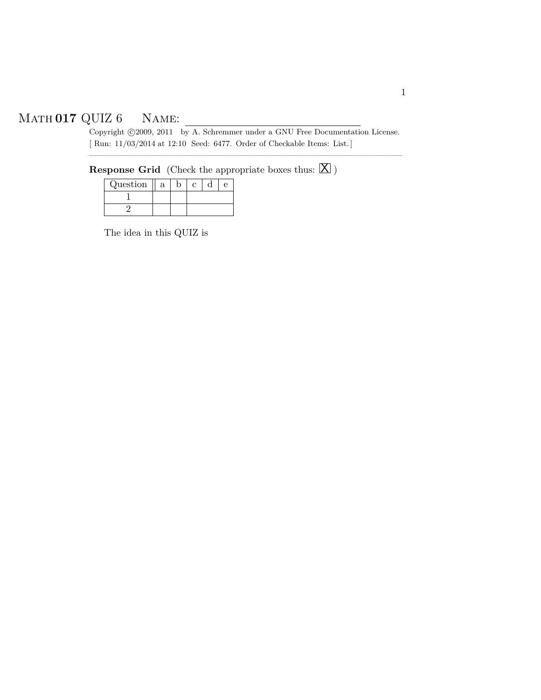# Math **017** QUIZ 6 Name:

UIZ 6 NAME:<br>
Copyright  $\odot$ 2009, 2011 by A. Schremmer under a GNU Free Documentation License. [ Run: 11/03/2014 at 12:10 Seed: 6477. Order of Checkable Items: List.]

————————————————————————————————–

# $\bf{Response}$   $\bf{Grid}$  (Check the appropriate boxes thus:  $\boxed{\bf{X}}$  )

| Question | a |  |  |
|----------|---|--|--|
|          |   |  |  |
|          |   |  |  |

The idea in this QUIZ is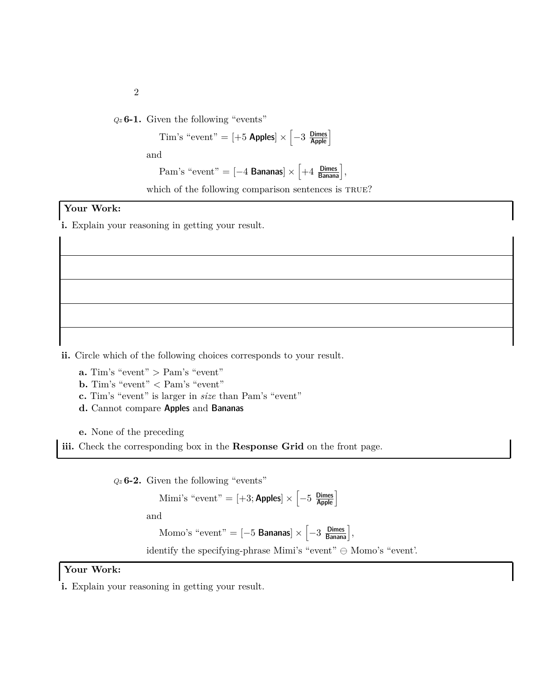*Qz* **6-1.** Given the following "events"

Tim's "event" =  $[+5 \text{ Apples}] \times \left[-3 \frac{\text{Dimes}}{\text{Apple}}\right]$ 

and

Pam's "event" = 
$$
[-4 \text{ Bananas}] \times \left[ +4 \frac{\text{Dimes}}{\text{Banana}} \right]
$$
,

which of the following comparison sentences is TRUE?

### **Your Work:**

**i.** Explain your reasoning in getting your result.

**ii.** Circle which of the following choices corresponds to your result.

**a.** Tim's "event" *>* Pam's "event"

**b.** Tim's "event" *<* Pam's "event"

**c.** Tim's "event" is larger in *size* than Pam's "event"

**d.** Cannot compare Apples and Bananas

**e.** None of the preceding

**iii.** Check the corresponding box in the **Response Grid** on the front page.

*Qz* **6-2.** Given the following "events"

Mimi's "event" =  $[+3;$  Apples $] \times \left[-5 \frac{\text{Dimes}}{\text{Apple}}\right]$ 

and

Momo's "event" =  $[-5 \text{ Bananas}] \times \left[-3 \text{ }\frac{\text{Dimes}}{\text{Banana}}\right],$ 

identify the specifying-phrase Mimi's "event"  $\ominus$  Momo's "event".

#### **Your Work:**

**i.** Explain your reasoning in getting your result.

2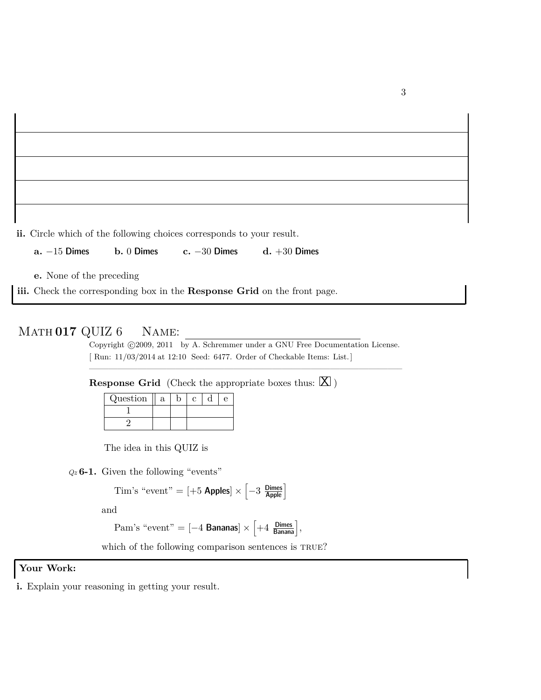**ii.** Circle which of the following choices corresponds to your result.

**a.** −15 Dimes **b.** 0 Dimes **c.** −30 Dimes **d.** +30 Dimes

**e.** None of the preceding

**iii.** Check the corresponding box in the **Response Grid** on the front page.

## Math **017** QUIZ 6 Name:

Copyright ©2009, 2011 by A. Schremmer under a GNU Free Documentation License. [ Run: 11/03/2014 at 12:10 Seed: 6477. Order of Checkable Items: List.]

————————————————————————————————–

**Response Grid** (Check the appropriate boxes thus:  $[\mathbf{X}]$ )

| Question |  |  |  |
|----------|--|--|--|
|          |  |  |  |
|          |  |  |  |

The idea in this QUIZ is

*Qz* **6-1.** Given the following "events"

$$
Tim's "event" = [+5 \text{ Apples}] \times \left[-3 \frac{\text{Dimes}}{\text{Apple}}\right]
$$

and

Pam's "event" =  $[-4 \text{ Bananas}] \times \left[ +4 \frac{\text{Dimes}}{\text{Banana}} \right],$ 

which of the following comparison sentences is TRUE?

#### **Your Work:**

**i.** Explain your reasoning in getting your result.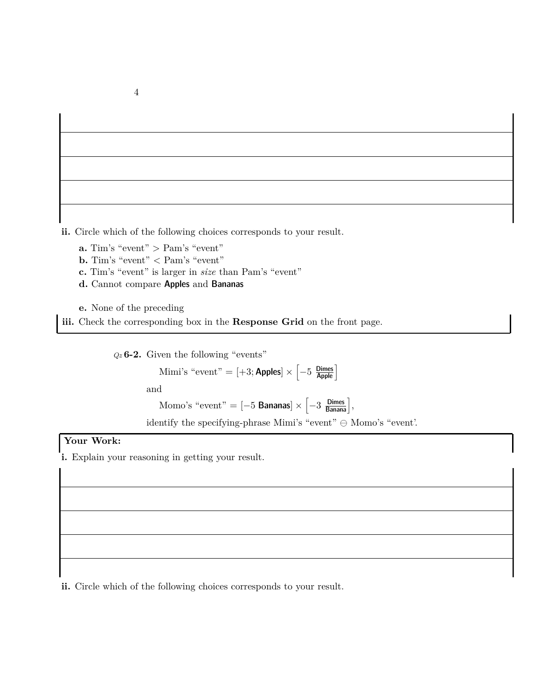**ii.** Circle which of the following choices corresponds to your result.

**a.** Tim's "event" *>* Pam's "event"

**b.** Tim's "event" *<* Pam's "event"

**c.** Tim's "event" is larger in *size* than Pam's "event"

**d.** Cannot compare Apples and Bananas

**e.** None of the preceding

**iii.** Check the corresponding box in the **Response Grid** on the front page.

*Qz* **6-2.** Given the following "events"

Mimi's "event" =  $[+3;$  Apples $] \times \left[-5 \frac{\text{Dimes}}{\text{Apple}}\right]$ and Momo's "event" =  $[-5 \text{ Bananas}] \times \left[-3 \text{ B}_{\text{Banana}}\right],$ identify the specifying-phrase Mimi's "event"  $\ominus$  Momo's "event".

### **Your Work:**

**i.** Explain your reasoning in getting your result.

**ii.** Circle which of the following choices corresponds to your result.

4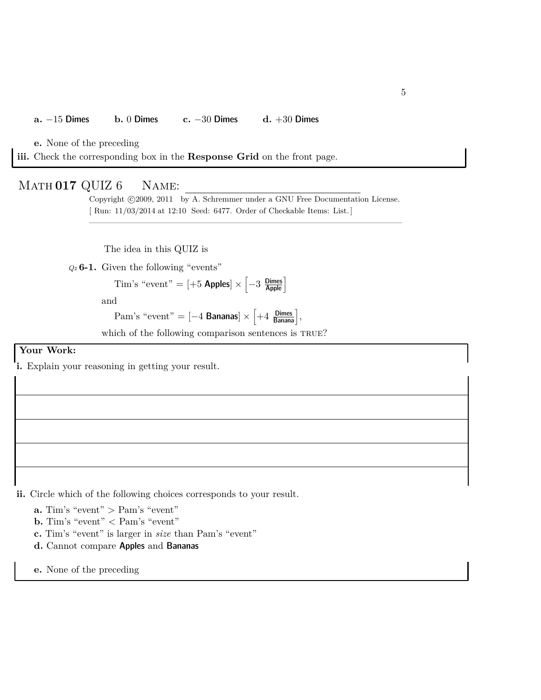#### **a.** −15 Dimes **b.** 0 Dimes **c.** −30 Dimes **d.** +30 Dimes

**e.** None of the preceding

**iii.** Check the corresponding box in the **Response Grid** on the front page.

#### Math **017** QUIZ 6 Name:

Copyright ©2009, 2011 by A. Schremmer under a GNU Free Documentation License. [ Run: 11/03/2014 at 12:10 Seed: 6477. Order of Checkable Items: List.]

————————————————————————————————–

The idea in this QUIZ is

*Qz* **6-1.** Given the following "events"

$$
Tim's "event" = [+5 \text{ Apples}] \times \left[-3 \frac{\text{Dimes}}{\text{Apple}}\right]
$$

and

Pam's "event" = 
$$
[-4 \text{ Bananas}] \times \left[ +4 \frac{\text{Dimes}}{\text{Banana}} \right]
$$
,

which of the following comparison sentences is TRUE?

#### **Your Work:**

**i.** Explain your reasoning in getting your result.

**ii.** Circle which of the following choices corresponds to your result.

- **a.** Tim's "event" *>* Pam's "event"
- **b.** Tim's "event" *<* Pam's "event"
- **c.** Tim's "event" is larger in *size* than Pam's "event"
- **d.** Cannot compare Apples and Bananas